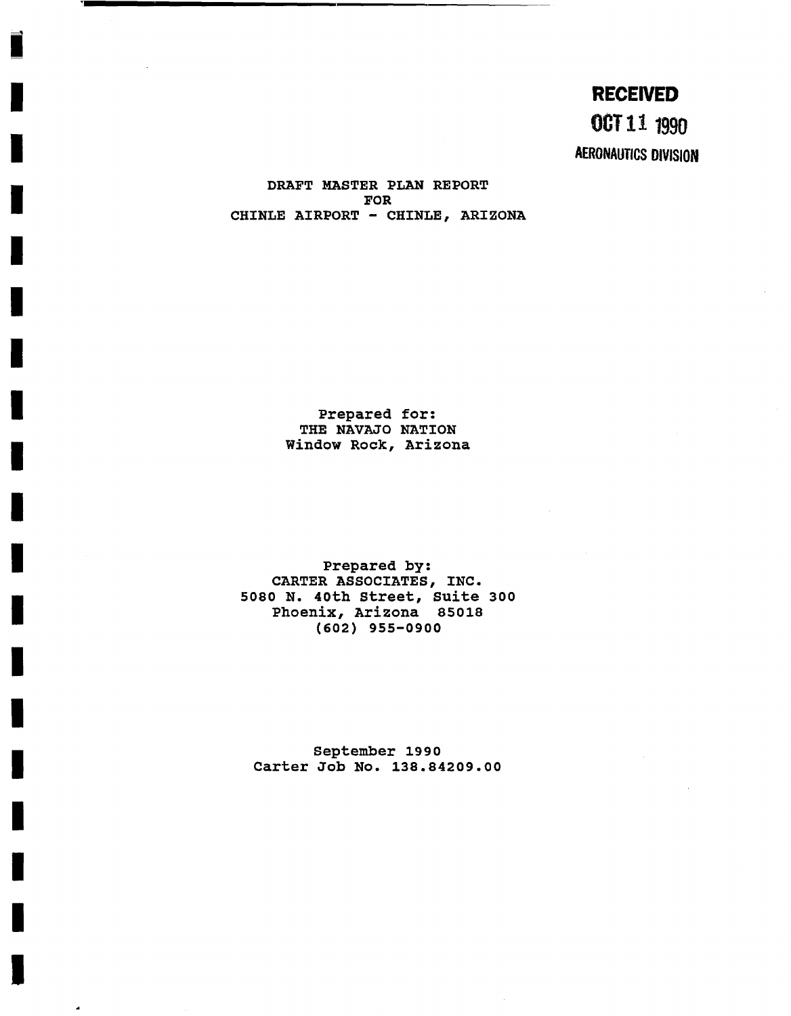**RECENED OCT 11 1990 AERONAUTICS DIVISION** 

DRAFT MASTER PLAN REPORT FOR CHINLE AIRPORT **-** CHINLE, ARIZONA

> Prepared for: THE NAVAJO NATION Window Rock, Arizona

Prepared by: CARTER ASSOCIATES, INC. 5080 N. 40th Street, Suite 300 Phoenix, Arizona 85018 **(602)** 955-0900

September **1990**  Carter Job No. 138.84209.00

 $\mathbf{A}$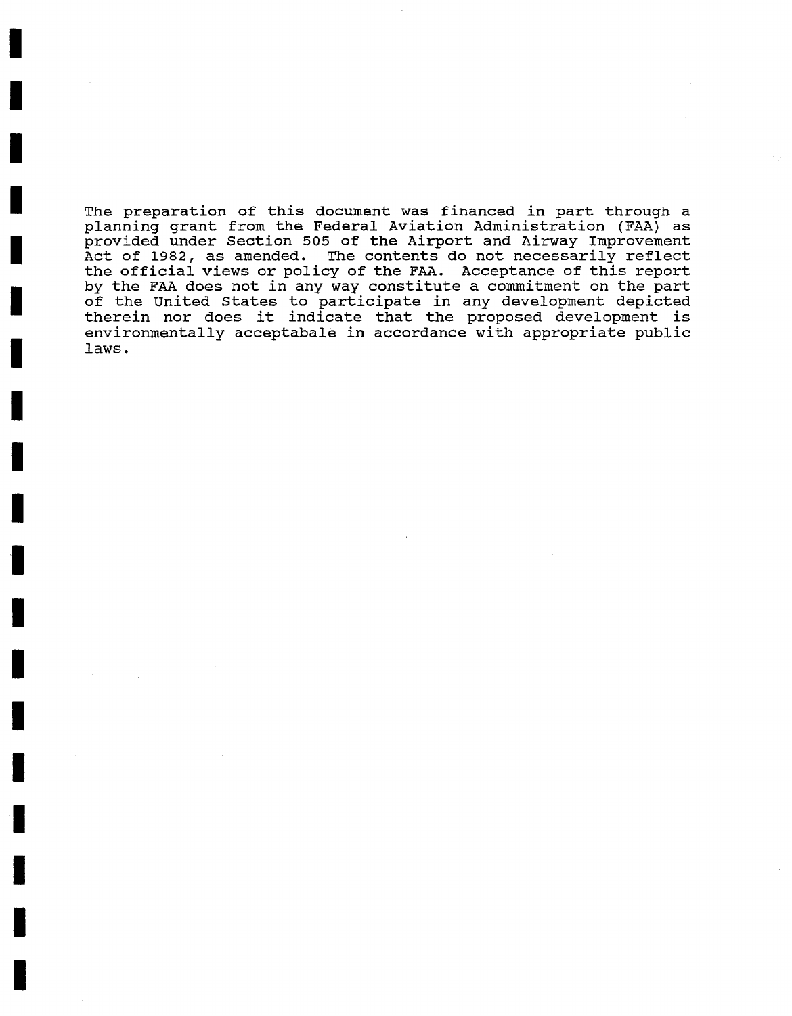The preparation of this document was financed in part through a planning grant from the Federal Aviation Administration (FAA) as provided under Section 505 of the Airport and Airway Improvement Act of 1982, as amended. The contents do not necessarily reflect the official views or policy of the FAA. Acceptance of this report by the FAA does not in any way constitute a commitment on the part of the United States to participate in any development depicted therein nor does it indicate that the proposed development is environmentally acceptabale in accordance with appropriate public laws.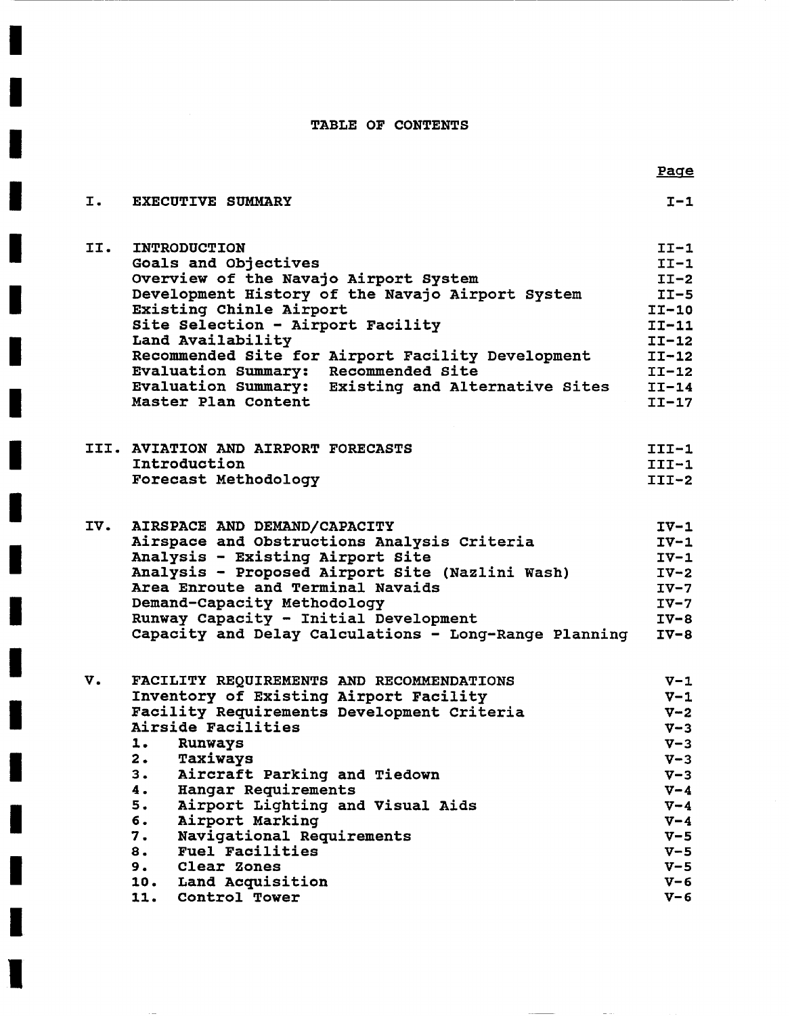### TABLE OF CONTENTS

|     |                                                       | <b>Page</b> |
|-----|-------------------------------------------------------|-------------|
| I.  | <b>EXECUTIVE SUMMARY</b>                              | $I-1$       |
| II. | <b>INTRODUCTION</b>                                   | $II-1$      |
|     | Goals and Objectives                                  | $II-1$      |
|     | Overview of the Navajo Airport System                 | $II-2$      |
|     | Development History of the Navajo Airport System      | $IT-5$      |
|     | Existing Chinle Airport                               | $II-10$     |
|     | Site Selection - Airport Facility                     | $II-11$     |
|     | Land Availability                                     | $II-12$     |
|     | Recommended Site for Airport Facility Development     | $II-12$     |
|     | <b>Evaluation Summary:</b><br>Recommended Site        | $II-12$     |
|     | Evaluation Summary: Existing and Alternative Sites    | $II-14$     |
|     | Master Plan Content                                   | $II-17$     |
|     | III. AVIATION AND AIRPORT FORECASTS                   | $III-1$     |
|     | Introduction                                          | $III - 1$   |
|     | Forecast Methodology                                  | $III-2$     |
| IV. | AIRSPACE AND DEMAND/CAPACITY                          | $IV-1$      |
|     | Airspace and Obstructions Analysis Criteria           | $IV-1$      |
|     | Analysis - Existing Airport Site                      | $IV-1$      |
|     | Analysis - Proposed Airport Site (Nazlini Wash)       | $IV-2$      |
|     | Area Enroute and Terminal Navaids                     | $IV-7$      |
|     | Demand-Capacity Methodology                           | $IV-7$      |
|     | Runway Capacity - Initial Development                 | $IV-8$      |
|     | Capacity and Delay Calculations - Long-Range Planning | $IV-8$      |
| v.  | FACILITY REQUIREMENTS AND RECOMMENDATIONS             | $V-1$       |
|     | Inventory of Existing Airport Facility                | $V-1$       |
|     | Facility Requirements Development Criteria            | $V-2$       |
|     | Airside Facilities                                    | $V - 3$     |
|     | 1. Runways                                            | $V - 3$     |
|     | Taxiways<br>2.                                        | $V - 3$     |
|     | 3.<br>Aircraft Parking and Tiedown                    | $V - 3$     |
|     | Hangar Requirements<br>4.                             | $V - 4$     |
|     | 5.<br>Airport Lighting and Visual Aids                | $V - 4$     |
|     | б.<br>Airport Marking                                 | $V - 4$     |
|     | Navigational Requirements<br>7.                       | $V - 5$     |
|     | 8.<br><b>Fuel Facilities</b>                          | $V - 5$     |
|     | 9.<br>Clear Zones                                     | $V - 5$     |
|     | 10.<br>Land Acquisition                               | $V - 6$     |
|     | 11. Control Tower                                     | $V - 6$     |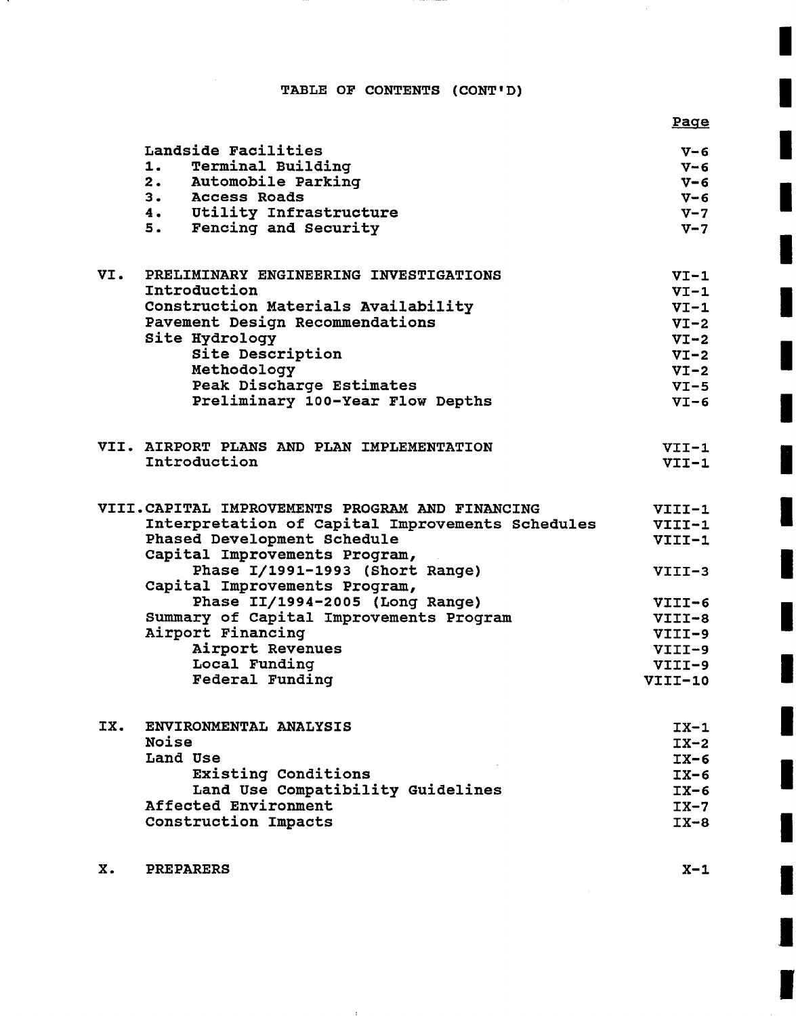## TABLE OF CONTENTS (CONT'D)

 $\cdots$  comes and

|     |                                                                  | <b>Page</b> |
|-----|------------------------------------------------------------------|-------------|
|     | Landside Facilities                                              | $V - 6$     |
|     | 1. Terminal Building                                             | $V - 6$     |
|     | 2. Automobile Parking                                            | $V - 6$     |
|     | 3. Access Roads                                                  | $V - 6$     |
|     | 4. Utility Infrastructure                                        | $V - 7$     |
|     | 5. Fencing and Security                                          | $V - 7$     |
| VI. | PRELIMINARY ENGINEERING INVESTIGATIONS                           | $VI-1$      |
|     | Introduction                                                     | $VI-1$      |
|     | Construction Materials Availability                              | $VI-1$      |
|     | Pavement Design Recommendations                                  | $VI-2$      |
|     | Site Hydrology                                                   | $VI-2$      |
|     | Site Description                                                 | $VI-2$      |
|     | Methodology                                                      | $VI-2$      |
|     | Peak Discharge Estimates                                         | $VI-5$      |
|     | Preliminary 100-Year Flow Depths                                 | $VI-6$      |
|     | VII. AIRPORT PLANS AND PLAN IMPLEMENTATION                       | $VII-1$     |
|     | Introduction                                                     | $VII-1$     |
|     | VIII.CAPITAL IMPROVEMENTS PROGRAM AND FINANCING                  | VIII-1      |
|     | Interpretation of Capital Improvements Schedules                 | $VIII-1$    |
|     | Phased Development Schedule                                      | VIII-1      |
|     | Capital Improvements Program,                                    |             |
|     | Phase I/1991-1993 (Short Range)<br>Capital Improvements Program, | $VIII-3$    |
|     | Phase II/1994-2005 (Long Range)                                  | $VIII-6$    |
|     | Summary of Capital Improvements Program                          | VIII-8      |
|     | Airport Financing                                                | VIII-9      |
|     | Airport Revenues                                                 | $VIII-9$    |
|     | Local Funding                                                    | VIII-9      |
|     | Federal Funding                                                  | VIII-10     |
| IX. | ENVIRONMENTAL ANALYSIS                                           | $IX-1$      |
|     | Noise                                                            | $IX-2$      |
|     | Land Use                                                         | $IX-6$      |
|     | Existing Conditions                                              | $IX-6$      |
|     | Land Use Compatibility Guidelines                                | $IX-6$      |
|     | Affected Environment                                             | $IX-7$      |

Construction Impacts

**IX-8**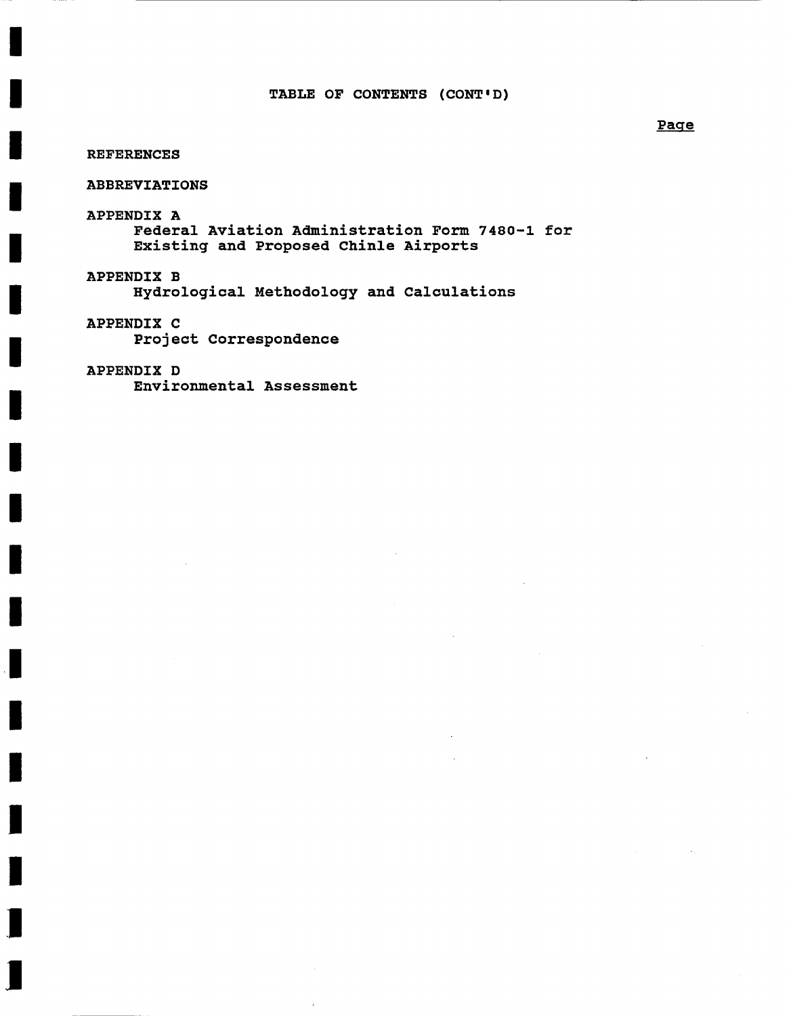#### REFERENCES

#### ABBREVIATIONS

APPENDIX **A**  Federal Aviation Administration Form 7480-1 for Existing and Proposed Chinle Airports

APPENDIX **B**  Hydrological Methodology and Calculations

APPENDIX **C**  Project Correspondence

#### APPENDIX D

Environmental Assessment

#### Page